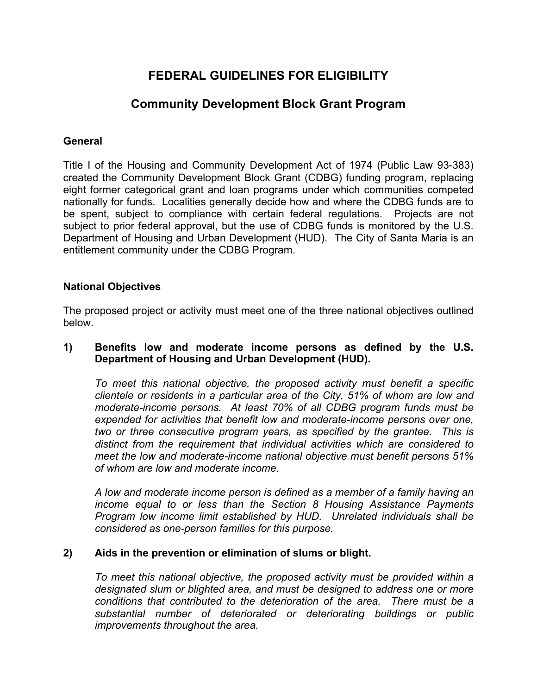# **FEDERAL GUIDELINES FOR ELIGIBILITY**

## **Community Development Block Grant Program**

### **General**

Title I of the Housing and Community Development Act of 1974 (Public Law 93-383) created the Community Development Block Grant (CDBG) funding program, replacing eight former categorical grant and loan programs under which communities competed nationally for funds. Localities generally decide how and where the CDBG funds are to be spent, subject to compliance with certain federal regulations. Projects are not subject to prior federal approval, but the use of CDBG funds is monitored by the U.S. Department of Housing and Urban Development (HUD). The City of Santa Maria is an entitlement community under the CDBG Program.

## **National Objectives**

The proposed project or activity must meet one of the three national objectives outlined below.

### **1) Benefits low and moderate income persons as defined by the U.S. Department of Housing and Urban Development (HUD).**

*To meet this national objective, the proposed activity must benefit a specific clientele or residents in a particular area of the City, 51% of whom are low and moderate-income persons. At least 70% of all CDBG program funds must be expended for activities that benefit low and moderate-income persons over one, two or three consecutive program years, as specified by the grantee. This is distinct from the requirement that individual activities which are considered to meet the low and moderate-income national objective must benefit persons 51% of whom are low and moderate income.*

*A low and moderate income person is defined as a member of a family having an income equal to or less than the Section 8 Housing Assistance Payments Program low income limit established by HUD. Unrelated individuals shall be considered as one-person families for this purpose.*

### **2) Aids in the prevention or elimination of slums or blight.**

*To meet this national objective, the proposed activity must be provided within a designated slum or blighted area, and must be designed to address one or more conditions that contributed to the deterioration of the area. There must be a substantial number of deteriorated or deteriorating buildings or public improvements throughout the area.*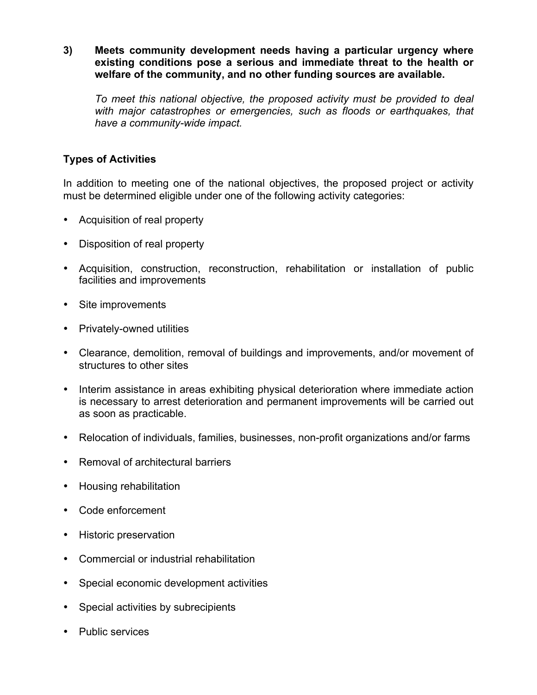**3) Meets community development needs having a particular urgency where existing conditions pose a serious and immediate threat to the health or welfare of the community, and no other funding sources are available.**

*To meet this national objective, the proposed activity must be provided to deal with major catastrophes or emergencies, such as floods or earthquakes, that have a community-wide impact.*

## **Types of Activities**

In addition to meeting one of the national objectives, the proposed project or activity must be determined eligible under one of the following activity categories:

- Acquisition of real property
- Disposition of real property
- Acquisition, construction, reconstruction, rehabilitation or installation of public facilities and improvements
- Site improvements
- Privately-owned utilities
- Clearance, demolition, removal of buildings and improvements, and/or movement of structures to other sites
- Interim assistance in areas exhibiting physical deterioration where immediate action is necessary to arrest deterioration and permanent improvements will be carried out as soon as practicable.
- Relocation of individuals, families, businesses, non-profit organizations and/or farms
- Removal of architectural barriers
- Housing rehabilitation
- Code enforcement
- Historic preservation
- Commercial or industrial rehabilitation
- Special economic development activities
- Special activities by subrecipients
- Public services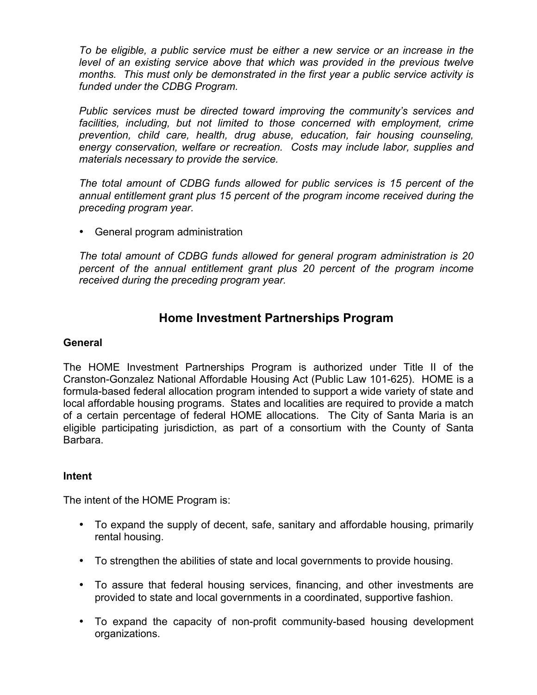*To be eligible, a public service must be either a new service or an increase in the*  level of an existing service above that which was provided in the previous twelve *months. This must only be demonstrated in the first year a public service activity is funded under the CDBG Program.*

*Public services must be directed toward improving the community's services and*  facilities, including, but not limited to those concerned with employment, crime *prevention, child care, health, drug abuse, education, fair housing counseling, energy conservation, welfare or recreation. Costs may include labor, supplies and materials necessary to provide the service.*

*The total amount of CDBG funds allowed for public services is 15 percent of the annual entitlement grant plus 15 percent of the program income received during the preceding program year.*

• General program administration

*The total amount of CDBG funds allowed for general program administration is 20 percent of the annual entitlement grant plus 20 percent of the program income received during the preceding program year.*

## **Home Investment Partnerships Program**

## **General**

The HOME Investment Partnerships Program is authorized under Title II of the Cranston-Gonzalez National Affordable Housing Act (Public Law 101-625). HOME is a formula-based federal allocation program intended to support a wide variety of state and local affordable housing programs. States and localities are required to provide a match of a certain percentage of federal HOME allocations. The City of Santa Maria is an eligible participating jurisdiction, as part of a consortium with the County of Santa Barbara.

### **Intent**

The intent of the HOME Program is:

- To expand the supply of decent, safe, sanitary and affordable housing, primarily rental housing.
- To strengthen the abilities of state and local governments to provide housing.
- To assure that federal housing services, financing, and other investments are provided to state and local governments in a coordinated, supportive fashion.
- To expand the capacity of non-profit community-based housing development organizations.